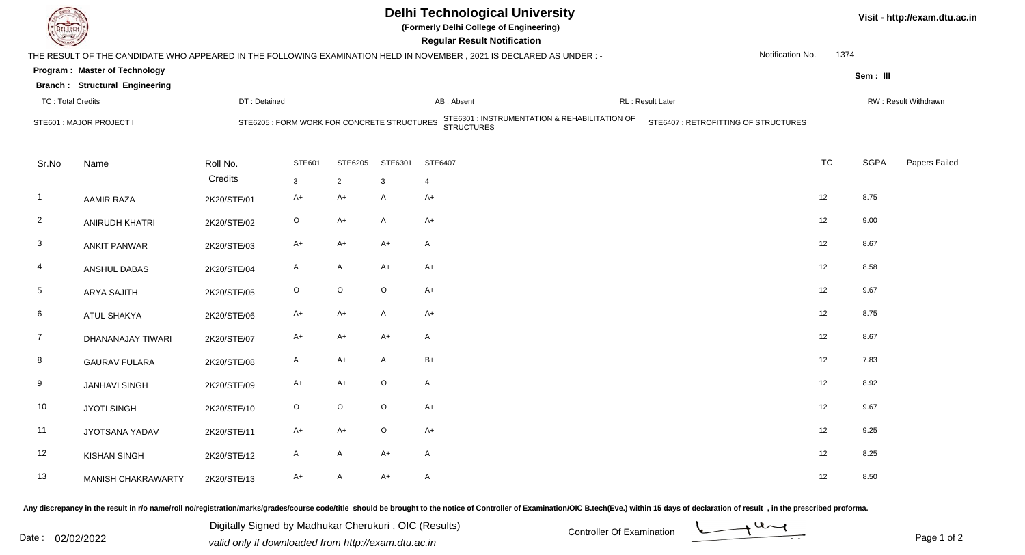| JEL I ECH                                                                                                                                        |                                       | <b>Delhi Technological University</b><br>(Formerly Delhi College of Engineering)<br><b>Regular Result Notification</b>                             |              |                |              |                |                  |                      |           | Visit - http://exam.dtu.ac.in |               |  |
|--------------------------------------------------------------------------------------------------------------------------------------------------|---------------------------------------|----------------------------------------------------------------------------------------------------------------------------------------------------|--------------|----------------|--------------|----------------|------------------|----------------------|-----------|-------------------------------|---------------|--|
| Notification No.<br>1374<br>THE RESULT OF THE CANDIDATE WHO APPEARED IN THE FOLLOWING EXAMINATION HELD IN NOVEMBER, 2021 IS DECLARED AS UNDER :- |                                       |                                                                                                                                                    |              |                |              |                |                  |                      |           |                               |               |  |
| <b>Program: Master of Technology</b>                                                                                                             |                                       |                                                                                                                                                    |              |                |              |                |                  |                      |           | Sem: III                      |               |  |
|                                                                                                                                                  | <b>Branch: Structural Engineering</b> |                                                                                                                                                    |              |                |              |                | RL: Result Later |                      |           |                               |               |  |
| <b>TC: Total Credits</b>                                                                                                                         |                                       | DT: Detained                                                                                                                                       |              |                |              | AB: Absent     |                  | RW: Result Withdrawn |           |                               |               |  |
| STE601 : MAJOR PROJECT I                                                                                                                         |                                       | STE6301 : INSTRUMENTATION & REHABILITATION OF<br>STRUCTURES<br>STE6407 : RETROFITTING OF STRUCTURES<br>STE6205 : FORM WORK FOR CONCRETE STRUCTURES |              |                |              |                |                  |                      |           |                               |               |  |
| Sr.No                                                                                                                                            | Name                                  | Roll No.                                                                                                                                           | STE601       | STE6205        | STE6301      | STE6407        |                  |                      | <b>TC</b> | <b>SGPA</b>                   | Papers Failed |  |
|                                                                                                                                                  |                                       | Credits                                                                                                                                            | $\mathbf{3}$ | $\overline{2}$ | 3            | $\overline{4}$ |                  |                      |           |                               |               |  |
| $\overline{1}$                                                                                                                                   | <b>AAMIR RAZA</b>                     | 2K20/STE/01                                                                                                                                        | A+           | $A+$           | $\mathsf{A}$ | $A+$           |                  |                      | 12        | 8.75                          |               |  |
| $\overline{2}$                                                                                                                                   | <b>ANIRUDH KHATRI</b>                 | 2K20/STE/02                                                                                                                                        | $\circ$      | $A+$           | Α            | $A+$           |                  |                      | 12        | 9.00                          |               |  |
| $\mathbf{3}$                                                                                                                                     | <b>ANKIT PANWAR</b>                   | 2K20/STE/03                                                                                                                                        | $A+$         | $A+$           | $A+$         | A              |                  |                      | 12        | 8.67                          |               |  |
| 4                                                                                                                                                | ANSHUL DABAS                          | 2K20/STE/04                                                                                                                                        | $\mathsf{A}$ | $\mathsf{A}$   | $A+$         | $A+$           |                  |                      | 12        | 8.58                          |               |  |
| $\overline{5}$                                                                                                                                   | <b>ARYA SAJITH</b>                    | 2K20/STE/05                                                                                                                                        | $\circ$      | $\mathsf O$    | $\circ$      | $A+$           |                  |                      | 12        | 9.67                          |               |  |
| 6                                                                                                                                                | <b>ATUL SHAKYA</b>                    | 2K20/STE/06                                                                                                                                        | $A+$         | $A+$           | $\mathsf{A}$ | $A+$           |                  |                      | 12        | 8.75                          |               |  |
| $\overline{7}$                                                                                                                                   | DHANANAJAY TIWARI                     | 2K20/STE/07                                                                                                                                        | A+           | $A+$           | $A+$         | A              |                  |                      | 12        | 8.67                          |               |  |
| 8                                                                                                                                                | <b>GAURAV FULARA</b>                  | 2K20/STE/08                                                                                                                                        | A            | $A+$           | A            | $B+$           |                  |                      | 12        | 7.83                          |               |  |
| 9                                                                                                                                                | <b>JANHAVI SINGH</b>                  | 2K20/STE/09                                                                                                                                        | $A+$         | $A+$           | $\circ$      | A              |                  |                      | 12        | 8.92                          |               |  |
| 10                                                                                                                                               | <b>JYOTI SINGH</b>                    | 2K20/STE/10                                                                                                                                        | $\circ$      | $\mathsf O$    | $\circ$      | $A+$           |                  |                      | 12        | 9.67                          |               |  |
| 11                                                                                                                                               | JYOTSANA YADAV                        | 2K20/STE/11                                                                                                                                        | A+           | $A+$           | $\circ$      | $A+$           |                  |                      | 12        | 9.25                          |               |  |
| 12                                                                                                                                               | <b>KISHAN SINGH</b>                   | 2K20/STE/12                                                                                                                                        | A            | $\mathsf{A}$   | $A+$         | A              |                  |                      | 12        | 8.25                          |               |  |
| 13                                                                                                                                               | <b>MANISH CHAKRAWARTY</b>             | 2K20/STE/13                                                                                                                                        | $A+$         | $\mathsf{A}$   | $A+$         | A              |                  |                      | 12        | 8.50                          |               |  |

Any discrepancy in the result in r/o name/roll no/registration/marks/grades/course code/title should be brought to the notice of Controller of Examination/OIC B.tech(Eve.) within 15 days of declaration of result ,in the p

Digitally Signed by Madhukar Cherukuri, OIC (Results)<br>Date : 02/02/2022 valid only if downloaded from http://oxam.dtu.ac.in Digitally Signed by Madhukar Cherukuri , OIC (Results)valid only if downloaded from http://exam.dtu.ac.in